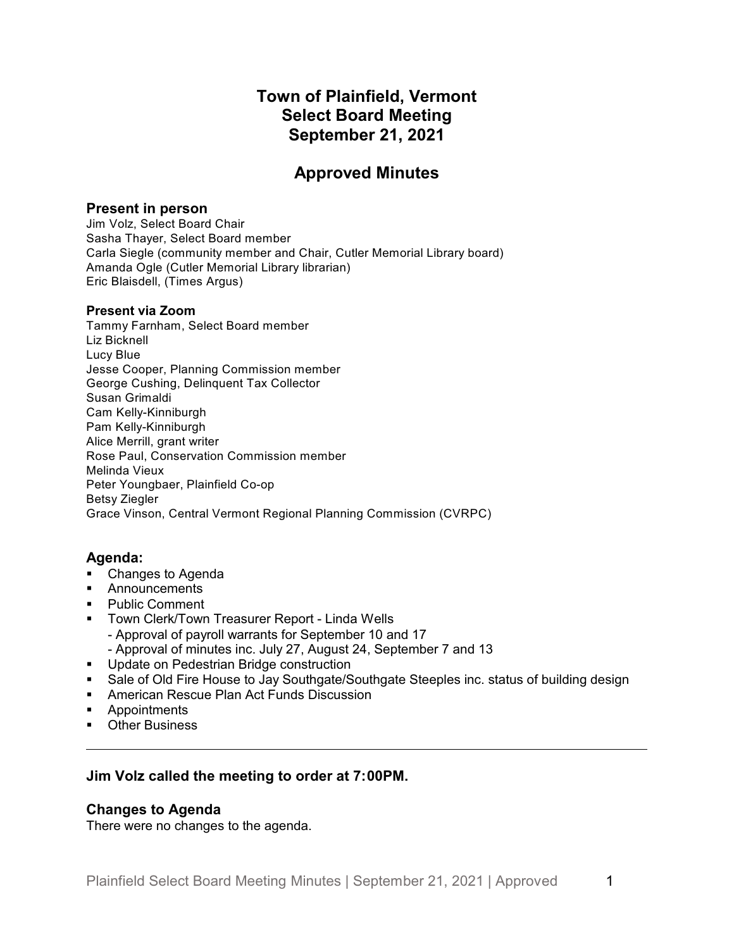# **Town of Plainfield, Vermont Select Board Meeting September 21, 2021**

# **Approved Minutes**

## **Present in person**

Jim Volz, Select Board Chair Sasha Thayer, Select Board member Carla Siegle (community member and Chair, Cutler Memorial Library board) Amanda Ogle (Cutler Memorial Library librarian) Eric Blaisdell, (Times Argus)

## **Present via Zoom**

Tammy Farnham, Select Board member Liz Bicknell Lucy Blue Jesse Cooper, Planning Commission member George Cushing, Delinquent Tax Collector Susan Grimaldi Cam Kelly-Kinniburgh Pam Kelly-Kinniburgh Alice Merrill, grant writer Rose Paul, Conservation Commission member Melinda Vieux Peter Youngbaer, Plainfield Co-op Betsy Ziegler Grace Vinson, Central Vermont Regional Planning Commission (CVRPC)

# **Agenda:**

- Changes to Agenda
- § Announcements
- § Public Comment
- **Town Clerk/Town Treasurer Report Linda Wells** 
	- Approval of payroll warrants for September 10 and 17
	- Approval of minutes inc. July 27, August 24, September 7 and 13
- **■** Update on Pedestrian Bridge construction
- Sale of Old Fire House to Jay Southgate/Southgate Steeples inc. status of building design
- **American Rescue Plan Act Funds Discussion**
- § Appointments
- Other Business

# **Jim Volz called the meeting to order at 7:00PM.**

## **Changes to Agenda**

There were no changes to the agenda.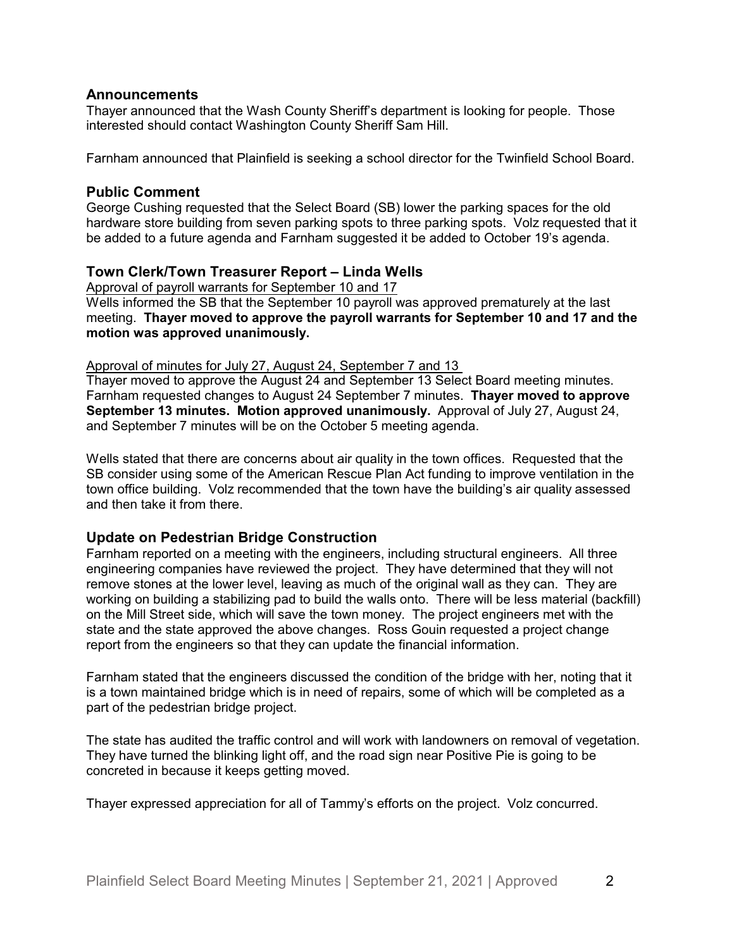#### **Announcements**

Thayer announced that the Wash County Sheriff's department is looking for people. Those interested should contact Washington County Sheriff Sam Hill.

Farnham announced that Plainfield is seeking a school director for the Twinfield School Board.

#### **Public Comment**

George Cushing requested that the Select Board (SB) lower the parking spaces for the old hardware store building from seven parking spots to three parking spots. Volz requested that it be added to a future agenda and Farnham suggested it be added to October 19's agenda.

## **Town Clerk/Town Treasurer Report – Linda Wells**

Approval of payroll warrants for September 10 and 17

Wells informed the SB that the September 10 payroll was approved prematurely at the last meeting. **Thayer moved to approve the payroll warrants for September 10 and 17 and the motion was approved unanimously.**

#### Approval of minutes for July 27, August 24, September 7 and 13

Thayer moved to approve the August 24 and September 13 Select Board meeting minutes. Farnham requested changes to August 24 September 7 minutes. **Thayer moved to approve September 13 minutes. Motion approved unanimously.** Approval of July 27, August 24, and September 7 minutes will be on the October 5 meeting agenda.

Wells stated that there are concerns about air quality in the town offices. Requested that the SB consider using some of the American Rescue Plan Act funding to improve ventilation in the town office building. Volz recommended that the town have the building's air quality assessed and then take it from there.

## **Update on Pedestrian Bridge Construction**

Farnham reported on a meeting with the engineers, including structural engineers. All three engineering companies have reviewed the project. They have determined that they will not remove stones at the lower level, leaving as much of the original wall as they can. They are working on building a stabilizing pad to build the walls onto. There will be less material (backfill) on the Mill Street side, which will save the town money. The project engineers met with the state and the state approved the above changes. Ross Gouin requested a project change report from the engineers so that they can update the financial information.

Farnham stated that the engineers discussed the condition of the bridge with her, noting that it is a town maintained bridge which is in need of repairs, some of which will be completed as a part of the pedestrian bridge project.

The state has audited the traffic control and will work with landowners on removal of vegetation. They have turned the blinking light off, and the road sign near Positive Pie is going to be concreted in because it keeps getting moved.

Thayer expressed appreciation for all of Tammy's efforts on the project. Volz concurred.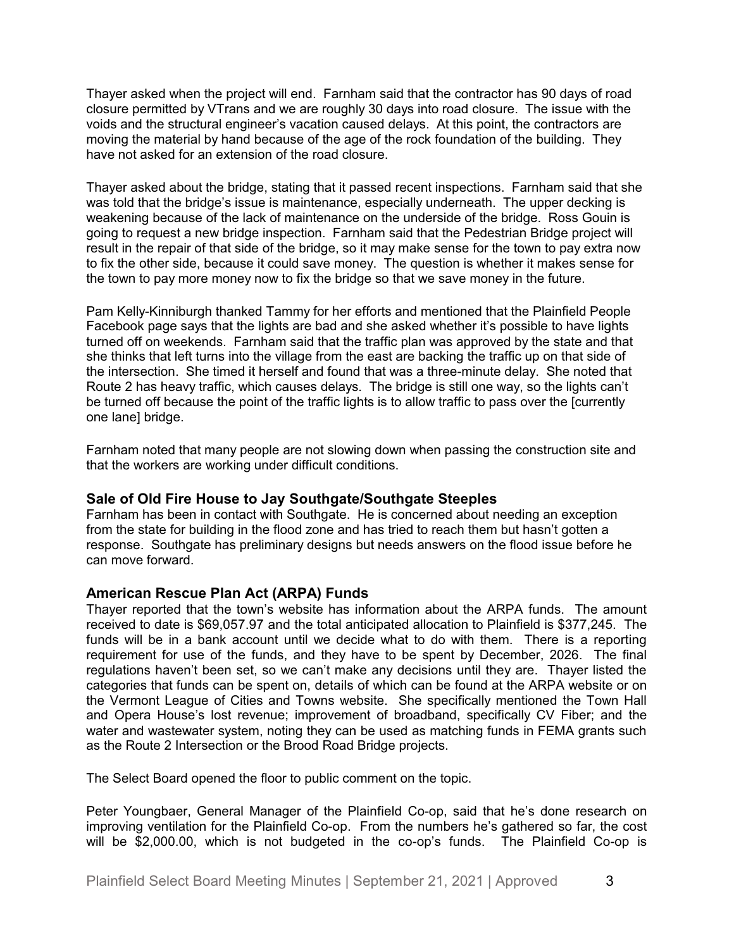Thayer asked when the project will end. Farnham said that the contractor has 90 days of road closure permitted by VTrans and we are roughly 30 days into road closure. The issue with the voids and the structural engineer's vacation caused delays. At this point, the contractors are moving the material by hand because of the age of the rock foundation of the building. They have not asked for an extension of the road closure.

Thayer asked about the bridge, stating that it passed recent inspections. Farnham said that she was told that the bridge's issue is maintenance, especially underneath. The upper decking is weakening because of the lack of maintenance on the underside of the bridge. Ross Gouin is going to request a new bridge inspection. Farnham said that the Pedestrian Bridge project will result in the repair of that side of the bridge, so it may make sense for the town to pay extra now to fix the other side, because it could save money. The question is whether it makes sense for the town to pay more money now to fix the bridge so that we save money in the future.

Pam Kelly-Kinniburgh thanked Tammy for her efforts and mentioned that the Plainfield People Facebook page says that the lights are bad and she asked whether it's possible to have lights turned off on weekends. Farnham said that the traffic plan was approved by the state and that she thinks that left turns into the village from the east are backing the traffic up on that side of the intersection. She timed it herself and found that was a three-minute delay. She noted that Route 2 has heavy traffic, which causes delays. The bridge is still one way, so the lights can't be turned off because the point of the traffic lights is to allow traffic to pass over the [currently one lane] bridge.

Farnham noted that many people are not slowing down when passing the construction site and that the workers are working under difficult conditions.

## **Sale of Old Fire House to Jay Southgate/Southgate Steeples**

Farnham has been in contact with Southgate. He is concerned about needing an exception from the state for building in the flood zone and has tried to reach them but hasn't gotten a response. Southgate has preliminary designs but needs answers on the flood issue before he can move forward.

#### **American Rescue Plan Act (ARPA) Funds**

Thayer reported that the town's website has information about the ARPA funds. The amount received to date is \$69,057.97 and the total anticipated allocation to Plainfield is \$377,245. The funds will be in a bank account until we decide what to do with them. There is a reporting requirement for use of the funds, and they have to be spent by December, 2026. The final regulations haven't been set, so we can't make any decisions until they are. Thayer listed the categories that funds can be spent on, details of which can be found at the ARPA website or on the Vermont League of Cities and Towns website. She specifically mentioned the Town Hall and Opera House's lost revenue; improvement of broadband, specifically CV Fiber; and the water and wastewater system, noting they can be used as matching funds in FEMA grants such as the Route 2 Intersection or the Brood Road Bridge projects.

The Select Board opened the floor to public comment on the topic.

Peter Youngbaer, General Manager of the Plainfield Co-op, said that he's done research on improving ventilation for the Plainfield Co-op. From the numbers he's gathered so far, the cost will be \$2,000.00, which is not budgeted in the co-op's funds. The Plainfield Co-op is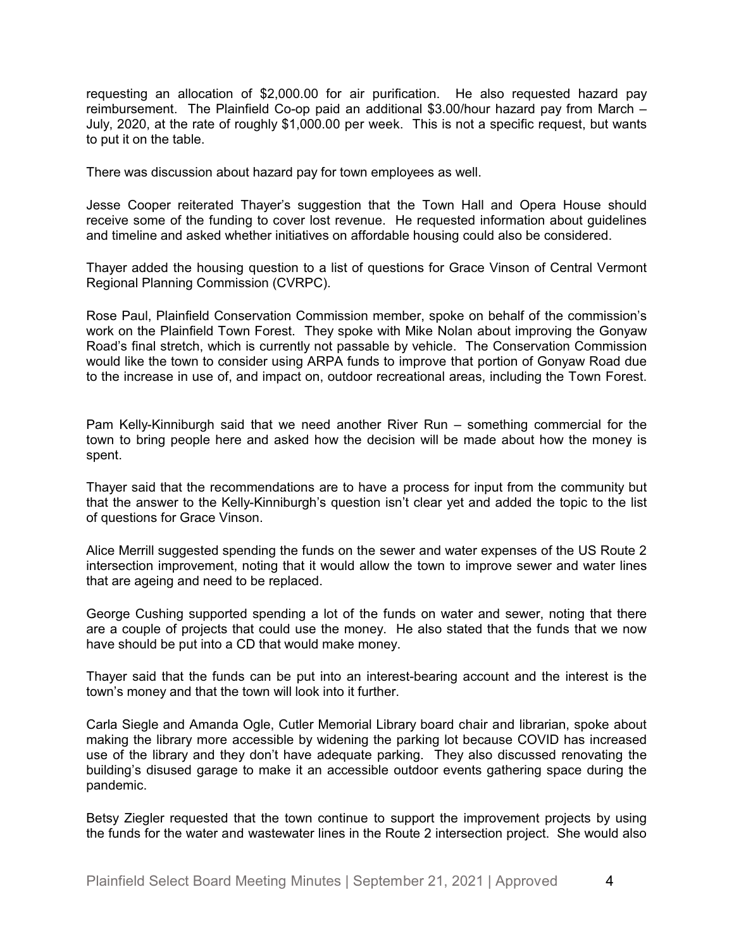requesting an allocation of \$2,000.00 for air purification. He also requested hazard pay reimbursement. The Plainfield Co-op paid an additional \$3.00/hour hazard pay from March – July, 2020, at the rate of roughly \$1,000.00 per week. This is not a specific request, but wants to put it on the table.

There was discussion about hazard pay for town employees as well.

Jesse Cooper reiterated Thayer's suggestion that the Town Hall and Opera House should receive some of the funding to cover lost revenue. He requested information about guidelines and timeline and asked whether initiatives on affordable housing could also be considered.

Thayer added the housing question to a list of questions for Grace Vinson of Central Vermont Regional Planning Commission (CVRPC).

Rose Paul, Plainfield Conservation Commission member, spoke on behalf of the commission's work on the Plainfield Town Forest. They spoke with Mike Nolan about improving the Gonyaw Road's final stretch, which is currently not passable by vehicle. The Conservation Commission would like the town to consider using ARPA funds to improve that portion of Gonyaw Road due to the increase in use of, and impact on, outdoor recreational areas, including the Town Forest.

Pam Kelly-Kinniburgh said that we need another River Run – something commercial for the town to bring people here and asked how the decision will be made about how the money is spent.

Thayer said that the recommendations are to have a process for input from the community but that the answer to the Kelly-Kinniburgh's question isn't clear yet and added the topic to the list of questions for Grace Vinson.

Alice Merrill suggested spending the funds on the sewer and water expenses of the US Route 2 intersection improvement, noting that it would allow the town to improve sewer and water lines that are ageing and need to be replaced.

George Cushing supported spending a lot of the funds on water and sewer, noting that there are a couple of projects that could use the money. He also stated that the funds that we now have should be put into a CD that would make money.

Thayer said that the funds can be put into an interest-bearing account and the interest is the town's money and that the town will look into it further.

Carla Siegle and Amanda Ogle, Cutler Memorial Library board chair and librarian, spoke about making the library more accessible by widening the parking lot because COVID has increased use of the library and they don't have adequate parking. They also discussed renovating the building's disused garage to make it an accessible outdoor events gathering space during the pandemic.

Betsy Ziegler requested that the town continue to support the improvement projects by using the funds for the water and wastewater lines in the Route 2 intersection project. She would also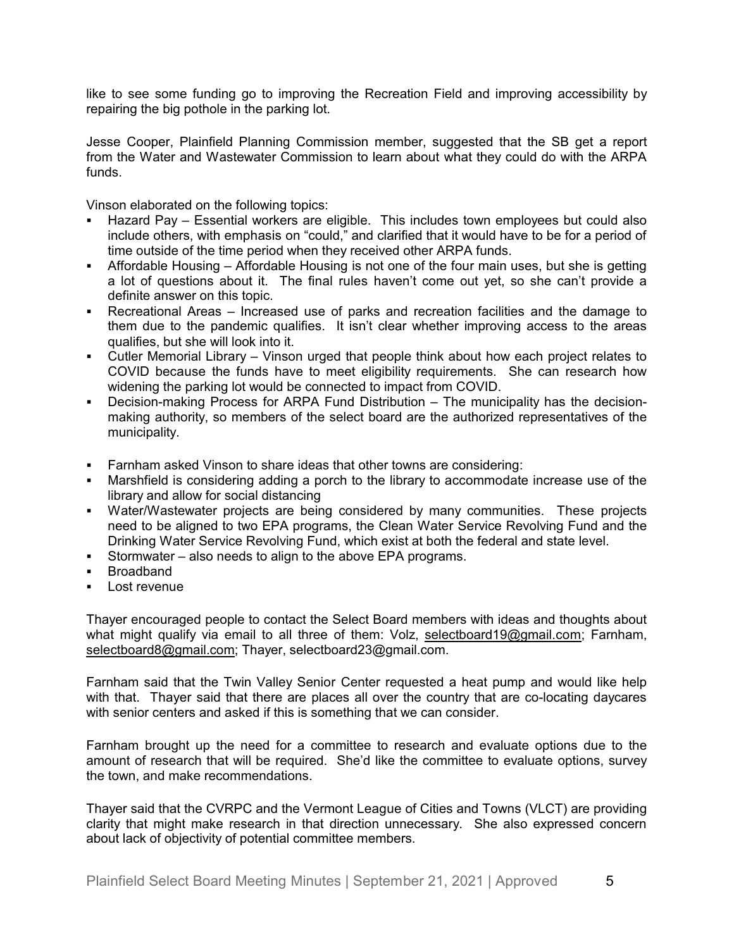like to see some funding go to improving the Recreation Field and improving accessibility by repairing the big pothole in the parking lot.

Jesse Cooper, Plainfield Planning Commission member, suggested that the SB get a report from the Water and Wastewater Commission to learn about what they could do with the ARPA funds.

Vinson elaborated on the following topics:

- § Hazard Pay Essential workers are eligible. This includes town employees but could also include others, with emphasis on "could," and clarified that it would have to be for a period of time outside of the time period when they received other ARPA funds.
- Affordable Housing Affordable Housing is not one of the four main uses, but she is getting a lot of questions about it. The final rules haven't come out yet, so she can't provide a definite answer on this topic.
- Recreational Areas Increased use of parks and recreation facilities and the damage to them due to the pandemic qualifies. It isn't clear whether improving access to the areas qualifies, but she will look into it.
- § Cutler Memorial Library Vinson urged that people think about how each project relates to COVID because the funds have to meet eligibility requirements. She can research how widening the parking lot would be connected to impact from COVID.
- § Decision-making Process for ARPA Fund Distribution The municipality has the decisionmaking authority, so members of the select board are the authorized representatives of the municipality.
- Farnham asked Vinson to share ideas that other towns are considering:
- Marshfield is considering adding a porch to the library to accommodate increase use of the library and allow for social distancing
- Water/Wastewater projects are being considered by many communities. These projects need to be aligned to two EPA programs, the Clean Water Service Revolving Fund and the Drinking Water Service Revolving Fund, which exist at both the federal and state level.
- § Stormwater also needs to align to the above EPA programs.
- § Broadband
- Lost revenue

Thayer encouraged people to contact the Select Board members with ideas and thoughts about what might qualify via email to all three of them: Volz, [selectboard19@gmail.com;](mailto:selectboard19@gmail.com) Farnham, [selectboard8@gmail.com](mailto:selectboard8@gmail.com); Thayer, selectboard23@gmail.com.

Farnham said that the Twin Valley Senior Center requested a heat pump and would like help with that. Thayer said that there are places all over the country that are co-locating daycares with senior centers and asked if this is something that we can consider.

Farnham brought up the need for a committee to research and evaluate options due to the amount of research that will be required. She'd like the committee to evaluate options, survey the town, and make recommendations.

Thayer said that the CVRPC and the Vermont League of Cities and Towns (VLCT) are providing clarity that might make research in that direction unnecessary. She also expressed concern about lack of objectivity of potential committee members.